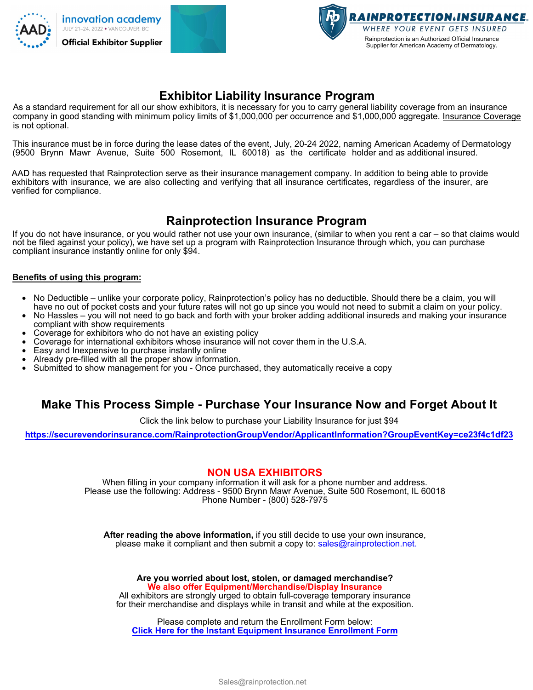



# **Exhibitor Liability Insurance Program**

As a standard requirement for all our show exhibitors, it is necessary for you to carry general liability coverage from an insurance company in good standing with minimum policy limits of \$1,000,000 per occurrence and \$1,000,000 aggregate. Insurance Coverage is not optional.

This insurance must be in force during the lease dates of the event, July, 20-24 2022, naming American Academy of Dermatology (9500 Brynn Mawr Avenue, Suite 500 Rosemont, IL 60018) as the certificate holder and as additional insured.

AAD has requested that Rainprotection serve as their insurance management company. In addition to being able to provide exhibitors with insurance, we are also collecting and verifying that all insurance certificates, regardless of the insurer, are verified for compliance.

# **Rainprotection Insurance Program**

If you do not have insurance, or you would rather not use your own insurance, (similar to when you rent a car – so that claims would not be filed against your policy), we have set up a program with Rainprotection Insurance through which, you can purchase compliant insurance instantly online for only \$94.

#### **Benefits of using this program:**

- No Deductible unlike your corporate policy, Rainprotection's policy has no deductible. Should there be a claim, you will have no out of pocket costs and your future rates will not go up since you would not need to submit a claim on your policy.
- No Hassles you will not need to go back and forth with your broker adding additional insureds and making your insurance compliant with show requirements
- Coverage for exhibitors who do not have an existing policy
- Coverage for international exhibitors whose insurance will not cover them in the U.S.A.
- Easy and Inexpensive to purchase instantly online
- Already pre-filled with all the proper show information.
- Submitted to show management for you Once purchased, they automatically receive a copy

### **Make This Process Simple - Purchase Your Insurance Now and Forget About It**

Click the link below to purchase your Liability Insurance for just \$94

**<https://securevendorinsurance.com/RainprotectionGroupVendor/ApplicantInformation?GroupEventKey=ce23f4c1df23>**

#### **NON USA EXHIBITORS**

When filling in your company information it will ask for a phone number and address. Please use the following: Address - 9500 Brynn Mawr Avenue, Suite 500 Rosemont, IL 60018 Phone Number - (800) 528-7975

**After reading the above information,** if you still decide to use your own insurance, please make it compliant and then submit a copy to: sales@rainprotection.net.

**Are you worried about lost, stolen, or damaged merchandise? We also offer Equipment/Merchandise/Display Insurance** All exhibitors are strongly urged to obtain full-coverage temporary insurance for their merchandise and displays while in transit and while at the exposition.

Please complete and return the Enrollment Form below: **Click Here for the Instant Equipment Insurance Enrollment Form**